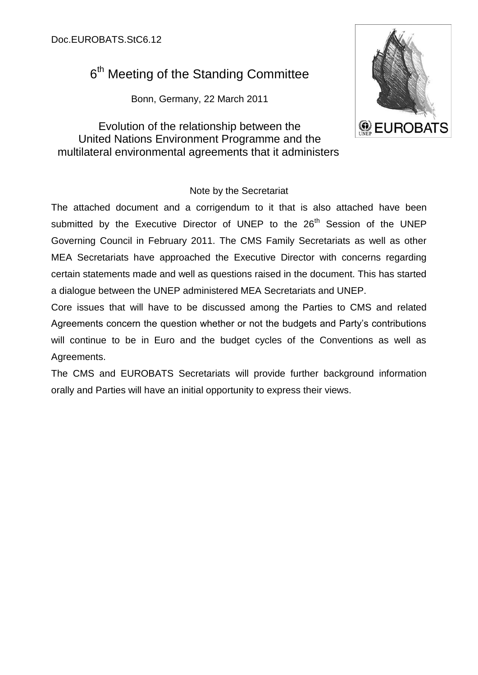# 6<sup>th</sup> Meeting of the Standing Committee

Bonn, Germany, 22 March 2011

Evolution of the relationship between the United Nations Environment Programme and the multilateral environmental agreements that it administers



# Note by the Secretariat

The attached document and a corrigendum to it that is also attached have been submitted by the Executive Director of UNEP to the 26<sup>th</sup> Session of the UNEP Governing Council in February 2011. The CMS Family Secretariats as well as other MEA Secretariats have approached the Executive Director with concerns regarding certain statements made and well as questions raised in the document. This has started a dialogue between the UNEP administered MEA Secretariats and UNEP.

Core issues that will have to be discussed among the Parties to CMS and related Agreements concern the question whether or not the budgets and Party's contributions will continue to be in Euro and the budget cycles of the Conventions as well as Agreements.

The CMS and EUROBATS Secretariats will provide further background information orally and Parties will have an initial opportunity to express their views.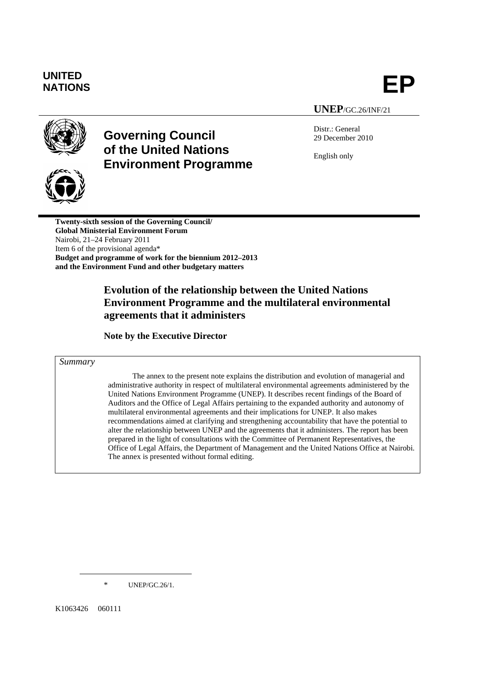# **UNITED**  UNITED<br>NATIONS **EP**

# **UNEP**/GC.26/INF/21



# **Governing Council of the United Nations Environment Programme**

Distr.: General 29 December 2010

English only



**Twenty-sixth session of the Governing Council/ Global Ministerial Environment Forum**  Nairobi, 21–24 February 2011 Item 6 of the provisional agenda\* **Budget and programme of work for the biennium 2012–2013 and the Environment Fund and other budgetary matters** 

# **Evolution of the relationship between the United Nations Environment Programme and the multilateral environmental agreements that it administers**

**Note by the Executive Director** 

#### *Summary*

The annex to the present note explains the distribution and evolution of managerial and administrative authority in respect of multilateral environmental agreements administered by the United Nations Environment Programme (UNEP). It describes recent findings of the Board of Auditors and the Office of Legal Affairs pertaining to the expanded authority and autonomy of multilateral environmental agreements and their implications for UNEP. It also makes recommendations aimed at clarifying and strengthening accountability that have the potential to alter the relationship between UNEP and the agreements that it administers. The report has been prepared in the light of consultations with the Committee of Permanent Representatives, the Office of Legal Affairs, the Department of Management and the United Nations Office at Nairobi. The annex is presented without formal editing.

\* UNEP/GC.26/1.

K1063426 060111

<u>.</u>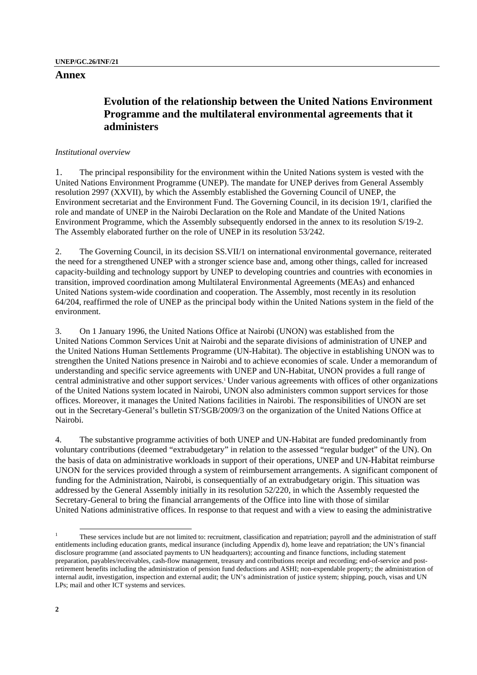# **Evolution of the relationship between the United Nations Environment Programme and the multilateral environmental agreements that it administers**

### *Institutional overview*

1. The principal responsibility for the environment within the United Nations system is vested with the United Nations Environment Programme (UNEP). The mandate for UNEP derives from General Assembly resolution 2997 (XXVII), by which the Assembly established the Governing Council of UNEP, the Environment secretariat and the Environment Fund. The Governing Council, in its decision 19/1, clarified the role and mandate of UNEP in the Nairobi Declaration on the Role and Mandate of the United Nations Environment Programme, which the Assembly subsequently endorsed in the annex to its resolution S/19-2. The Assembly elaborated further on the role of UNEP in its resolution 53/242.

2. The Governing Council, in its decision SS.VII/1 on international environmental governance, reiterated the need for a strengthened UNEP with a stronger science base and, among other things, called for increased capacity-building and technology support by UNEP to developing countries and countries with economies in transition, improved coordination among Multilateral Environmental Agreements (MEAs) and enhanced United Nations system-wide coordination and cooperation. The Assembly, most recently in its resolution 64/204, reaffirmed the role of UNEP as the principal body within the United Nations system in the field of the environment.

3. On 1 January 1996, the United Nations Office at Nairobi (UNON) was established from the United Nations Common Services Unit at Nairobi and the separate divisions of administration of UNEP and the United Nations Human Settlements Programme (UN-Habitat). The objective in establishing UNON was to strengthen the United Nations presence in Nairobi and to achieve economies of scale. Under a memorandum of understanding and specific service agreements with UNEP and UN-Habitat, UNON provides a full range of central administrative and other support services.1 Under various agreements with offices of other organizations of the United Nations system located in Nairobi, UNON also administers common support services for those offices. Moreover, it manages the United Nations facilities in Nairobi. The responsibilities of UNON are set out in the Secretary-General's bulletin ST/SGB/2009/3 on the organization of the United Nations Office at Nairobi.

4. The substantive programme activities of both UNEP and UN-Habitat are funded predominantly from voluntary contributions (deemed "extrabudgetary" in relation to the assessed "regular budget" of the UN). On the basis of data on administrative workloads in support of their operations, UNEP and UN-Habitat reimburse UNON for the services provided through a system of reimbursement arrangements. A significant component of funding for the Administration, Nairobi, is consequentially of an extrabudgetary origin. This situation was addressed by the General Assembly initially in its resolution 52/220, in which the Assembly requested the Secretary-General to bring the financial arrangements of the Office into line with those of similar United Nations administrative offices. In response to that request and with a view to easing the administrative

 $\frac{1}{1}$  These services include but are not limited to: recruitment, classification and repatriation; payroll and the administration of staff entitlements including education grants, medical insurance (including Appendix d), home leave and repatriation; the UN's financial disclosure programme (and associated payments to UN headquarters); accounting and finance functions, including statement preparation, payables/receivables, cash-flow management, treasury and contributions receipt and recording; end-of-service and postretirement benefits including the administration of pension fund deductions and ASHI; non-expendable property; the administration of internal audit, investigation, inspection and external audit; the UN's administration of justice system; shipping, pouch, visas and UN LPs; mail and other ICT systems and services.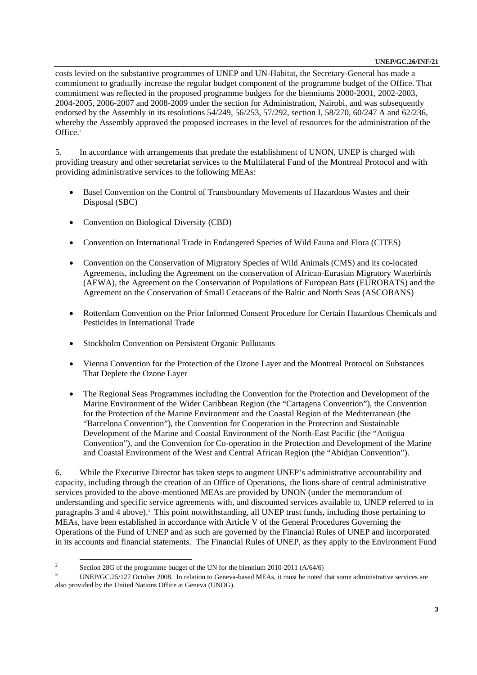costs levied on the substantive programmes of UNEP and UN-Habitat, the Secretary-General has made a commitment to gradually increase the regular budget component of the programme budget of the Office. That commitment was reflected in the proposed programme budgets for the bienniums 2000-2001, 2002-2003, 2004-2005, 2006-2007 and 2008-2009 under the section for Administration, Nairobi, and was subsequently endorsed by the Assembly in its resolutions 54/249, 56/253, 57/292, section I, 58/270, 60/247 A and 62/236, whereby the Assembly approved the proposed increases in the level of resources for the administration of the Office.<sup>2</sup>

5. In accordance with arrangements that predate the establishment of UNON, UNEP is charged with providing treasury and other secretariat services to the Multilateral Fund of the Montreal Protocol and with providing administrative services to the following MEAs:

- Basel Convention on the Control of Transboundary Movements of Hazardous Wastes and their Disposal (SBC)
- Convention on Biological Diversity (CBD)
- Convention on International Trade in Endangered Species of Wild Fauna and Flora (CITES)
- Convention on the Conservation of Migratory Species of Wild Animals (CMS) and its co-located Agreements, including the Agreement on the conservation of African-Eurasian Migratory Waterbirds (AEWA), the Agreement on the Conservation of Populations of European Bats (EUROBATS) and the Agreement on the Conservation of Small Cetaceans of the Baltic and North Seas (ASCOBANS)
- Rotterdam Convention on the Prior Informed Consent Procedure for Certain Hazardous Chemicals and Pesticides in International Trade
- Stockholm Convention on Persistent Organic Pollutants
- Vienna Convention for the Protection of the Ozone Layer and the Montreal Protocol on Substances That Deplete the Ozone Layer
- The Regional Seas Programmes including the Convention for the Protection and Development of the Marine Environment of the Wider Caribbean Region (the "Cartagena Convention"), the Convention for the Protection of the Marine Environment and the Coastal Region of the Mediterranean (the "Barcelona Convention"), the Convention for Cooperation in the Protection and Sustainable Development of the Marine and Coastal Environment of the North-East Pacific (the "Antigua Convention"), and the Convention for Co-operation in the Protection and Development of the Marine and Coastal Environment of the West and Central African Region (the "Abidjan Convention").

6. While the Executive Director has taken steps to augment UNEP's administrative accountability and capacity, including through the creation of an Office of Operations, the lions-share of central administrative services provided to the above-mentioned MEAs are provided by UNON (under the memorandum of understanding and specific service agreements with, and discounted services available to, UNEP referred to in paragraphs 3 and 4 above).<sup>3</sup> This point notwithstanding, all UNEP trust funds, including those pertaining to MEAs, have been established in accordance with Article V of the General Procedures Governing the Operations of the Fund of UNEP and as such are governed by the Financial Rules of UNEP and incorporated in its accounts and financial statements. The Financial Rules of UNEP, as they apply to the Environment Fund

 $\frac{1}{2}$ <sup>2</sup> Section 28G of the programme budget of the UN for the biennium 2010-2011 ( $A/64/6$ )

UNEP/GC.25/127 October 2008. In relation to Geneva-based MEAs, it must be noted that some administrative services are also provided by the United Nations Office at Geneva (UNOG).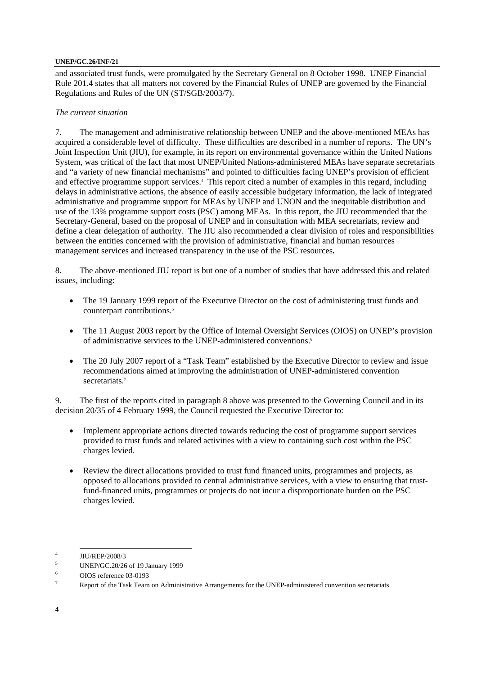and associated trust funds, were promulgated by the Secretary General on 8 October 1998. UNEP Financial Rule 201.4 states that all matters not covered by the Financial Rules of UNEP are governed by the Financial Regulations and Rules of the UN (ST/SGB/2003/7).

### *The current situation*

7. The management and administrative relationship between UNEP and the above-mentioned MEAs has acquired a considerable level of difficulty. These difficulties are described in a number of reports. The UN's Joint Inspection Unit (JIU), for example, in its report on environmental governance within the United Nations System, was critical of the fact that most UNEP/United Nations-administered MEAs have separate secretariats and "a variety of new financial mechanisms" and pointed to difficulties facing UNEP's provision of efficient and effective programme support services.<sup>4</sup> This report cited a number of examples in this regard, including delays in administrative actions, the absence of easily accessible budgetary information, the lack of integrated administrative and programme support for MEAs by UNEP and UNON and the inequitable distribution and use of the 13% programme support costs (PSC) among MEAs. In this report, the JIU recommended that the Secretary-General, based on the proposal of UNEP and in consultation with MEA secretariats, review and define a clear delegation of authority. The JIU also recommended a clear division of roles and responsibilities between the entities concerned with the provision of administrative, financial and human resources management services and increased transparency in the use of the PSC resources**.** 

8. The above-mentioned JIU report is but one of a number of studies that have addressed this and related issues, including:

- The 19 January 1999 report of the Executive Director on the cost of administering trust funds and counterpart contributions.<sup>5</sup>
- The 11 August 2003 report by the Office of Internal Oversight Services (OIOS) on UNEP's provision of administrative services to the UNEP-administered conventions.<sup>6</sup>
- The 20 July 2007 report of a "Task Team" established by the Executive Director to review and issue recommendations aimed at improving the administration of UNEP-administered convention secretariats.<sup>7</sup>

9. The first of the reports cited in paragraph 8 above was presented to the Governing Council and in its decision 20/35 of 4 February 1999, the Council requested the Executive Director to:

- Implement appropriate actions directed towards reducing the cost of programme support services provided to trust funds and related activities with a view to containing such cost within the PSC charges levied.
- Review the direct allocations provided to trust fund financed units, programmes and projects, as opposed to allocations provided to central administrative services, with a view to ensuring that trustfund-financed units, programmes or projects do not incur a disproportionate burden on the PSC charges levied.

 $\frac{1}{4}$   $\frac{1}{1}$ <sup>4</sup> JIU/REP/2008/3

<sup>5</sup> UNEP/GC.20/26 of 19 January 1999

<sup>6</sup> OIOS reference 03-0193

<sup>7</sup> Report of the Task Team on Administrative Arrangements for the UNEP-administered convention secretariats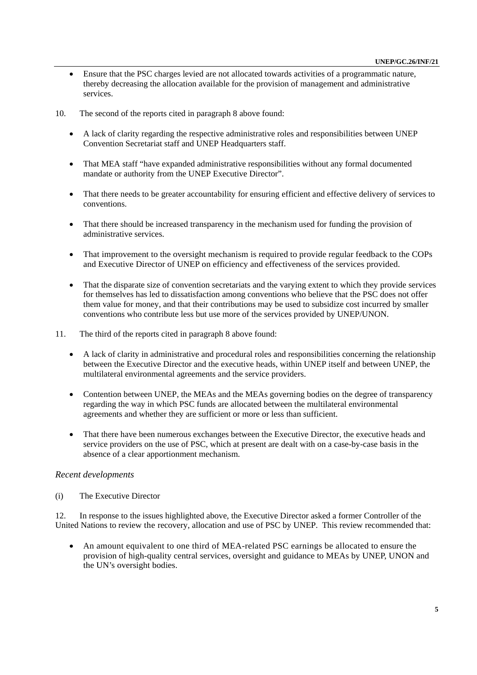- Ensure that the PSC charges levied are not allocated towards activities of a programmatic nature, thereby decreasing the allocation available for the provision of management and administrative services.
- 10. The second of the reports cited in paragraph 8 above found:
	- A lack of clarity regarding the respective administrative roles and responsibilities between UNEP Convention Secretariat staff and UNEP Headquarters staff.
	- That MEA staff "have expanded administrative responsibilities without any formal documented mandate or authority from the UNEP Executive Director".
	- That there needs to be greater accountability for ensuring efficient and effective delivery of services to conventions.
	- That there should be increased transparency in the mechanism used for funding the provision of administrative services.
	- That improvement to the oversight mechanism is required to provide regular feedback to the COPs and Executive Director of UNEP on efficiency and effectiveness of the services provided.
	- That the disparate size of convention secretariats and the varying extent to which they provide services for themselves has led to dissatisfaction among conventions who believe that the PSC does not offer them value for money, and that their contributions may be used to subsidize cost incurred by smaller conventions who contribute less but use more of the services provided by UNEP/UNON.
- 11. The third of the reports cited in paragraph 8 above found:
	- A lack of clarity in administrative and procedural roles and responsibilities concerning the relationship between the Executive Director and the executive heads, within UNEP itself and between UNEP, the multilateral environmental agreements and the service providers.
	- Contention between UNEP, the MEAs and the MEAs governing bodies on the degree of transparency regarding the way in which PSC funds are allocated between the multilateral environmental agreements and whether they are sufficient or more or less than sufficient.
	- That there have been numerous exchanges between the Executive Director, the executive heads and service providers on the use of PSC, which at present are dealt with on a case-by-case basis in the absence of a clear apportionment mechanism.

#### *Recent developments*

(i) The Executive Director

12. In response to the issues highlighted above, the Executive Director asked a former Controller of the United Nations to review the recovery, allocation and use of PSC by UNEP. This review recommended that:

• An amount equivalent to one third of MEA-related PSC earnings be allocated to ensure the provision of high-quality central services, oversight and guidance to MEAs by UNEP, UNON and the UN's oversight bodies.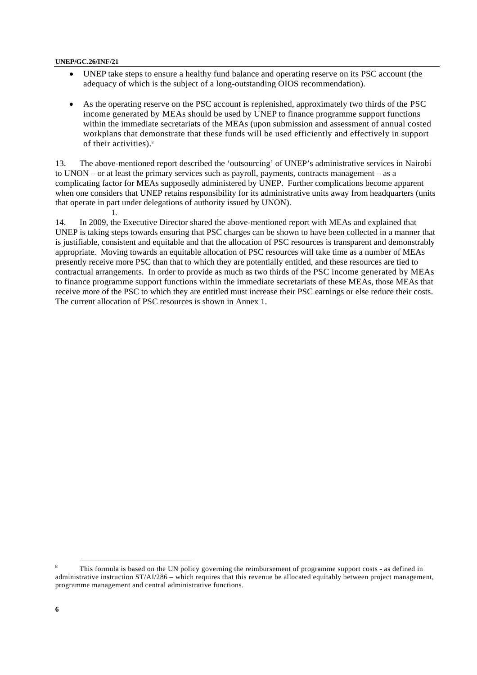- UNEP take steps to ensure a healthy fund balance and operating reserve on its PSC account (the adequacy of which is the subject of a long-outstanding OIOS recommendation).
- As the operating reserve on the PSC account is replenished, approximately two thirds of the PSC income generated by MEAs should be used by UNEP to finance programme support functions within the immediate secretariats of the MEAs (upon submission and assessment of annual costed workplans that demonstrate that these funds will be used efficiently and effectively in support of their activities).<sup>8</sup>

13. The above-mentioned report described the 'outsourcing' of UNEP's administrative services in Nairobi to UNON – or at least the primary services such as payroll, payments, contracts management – as a complicating factor for MEAs supposedly administered by UNEP. Further complications become apparent when one considers that UNEP retains responsibility for its administrative units away from headquarters (units that operate in part under delegations of authority issued by UNON). 1.

14. In 2009, the Executive Director shared the above-mentioned report with MEAs and explained that UNEP is taking steps towards ensuring that PSC charges can be shown to have been collected in a manner that is justifiable, consistent and equitable and that the allocation of PSC resources is transparent and demonstrably appropriate. Moving towards an equitable allocation of PSC resources will take time as a number of MEAs presently receive more PSC than that to which they are potentially entitled, and these resources are tied to contractual arrangements. In order to provide as much as two thirds of the PSC income generated by MEAs to finance programme support functions within the immediate secretariats of these MEAs, those MEAs that receive more of the PSC to which they are entitled must increase their PSC earnings or else reduce their costs. The current allocation of PSC resources is shown in Annex 1.

 $\frac{1}{8}$  This formula is based on the UN policy governing the reimbursement of programme support costs - as defined in administrative instruction ST/AI/286 – which requires that this revenue be allocated equitably between project management, programme management and central administrative functions.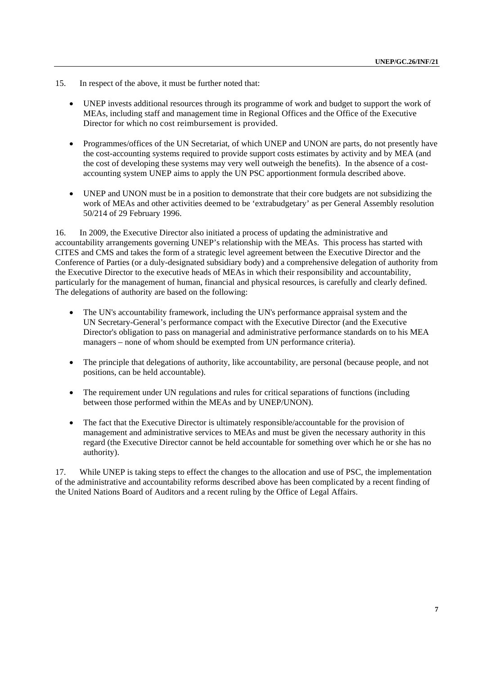- 15. In respect of the above, it must be further noted that:
	- UNEP invests additional resources through its programme of work and budget to support the work of MEAs, including staff and management time in Regional Offices and the Office of the Executive Director for which no cost reimbursement is provided.
	- Programmes/offices of the UN Secretariat, of which UNEP and UNON are parts, do not presently have the cost-accounting systems required to provide support costs estimates by activity and by MEA (and the cost of developing these systems may very well outweigh the benefits). In the absence of a costaccounting system UNEP aims to apply the UN PSC apportionment formula described above.
	- UNEP and UNON must be in a position to demonstrate that their core budgets are not subsidizing the work of MEAs and other activities deemed to be 'extrabudgetary' as per General Assembly resolution 50/214 of 29 February 1996.

16. In 2009, the Executive Director also initiated a process of updating the administrative and accountability arrangements governing UNEP's relationship with the MEAs. This process has started with CITES and CMS and takes the form of a strategic level agreement between the Executive Director and the Conference of Parties (or a duly-designated subsidiary body) and a comprehensive delegation of authority from the Executive Director to the executive heads of MEAs in which their responsibility and accountability, particularly for the management of human, financial and physical resources, is carefully and clearly defined. The delegations of authority are based on the following:

- The UN's accountability framework, including the UN's performance appraisal system and the UN Secretary-General's performance compact with the Executive Director (and the Executive Director's obligation to pass on managerial and administrative performance standards on to his MEA managers – none of whom should be exempted from UN performance criteria).
- The principle that delegations of authority, like accountability, are personal (because people, and not positions, can be held accountable).
- The requirement under UN regulations and rules for critical separations of functions (including between those performed within the MEAs and by UNEP/UNON).
- The fact that the Executive Director is ultimately responsible/accountable for the provision of management and administrative services to MEAs and must be given the necessary authority in this regard (the Executive Director cannot be held accountable for something over which he or she has no authority).

17. While UNEP is taking steps to effect the changes to the allocation and use of PSC, the implementation of the administrative and accountability reforms described above has been complicated by a recent finding of the United Nations Board of Auditors and a recent ruling by the Office of Legal Affairs.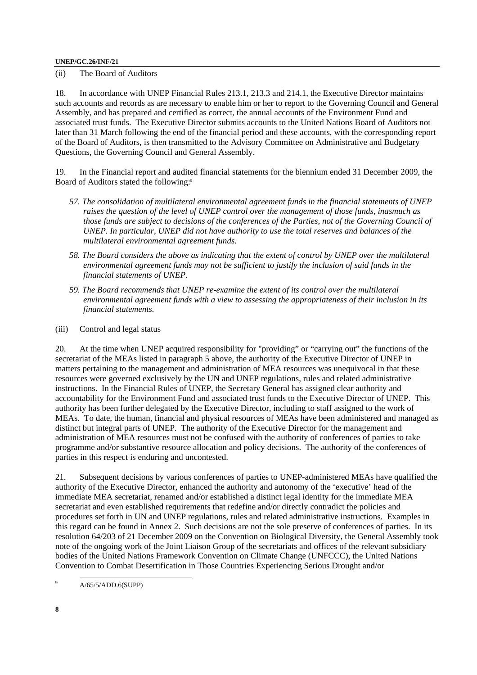(ii) The Board of Auditors

18. In accordance with UNEP Financial Rules 213.1, 213.3 and 214.1, the Executive Director maintains such accounts and records as are necessary to enable him or her to report to the Governing Council and General Assembly, and has prepared and certified as correct, the annual accounts of the Environment Fund and associated trust funds. The Executive Director submits accounts to the United Nations Board of Auditors not later than 31 March following the end of the financial period and these accounts, with the corresponding report of the Board of Auditors, is then transmitted to the Advisory Committee on Administrative and Budgetary Questions, the Governing Council and General Assembly.

19. In the Financial report and audited financial statements for the biennium ended 31 December 2009, the Board of Auditors stated the following:<sup>9</sup>

- *57. The consolidation of multilateral environmental agreement funds in the financial statements of UNEP raises the question of the level of UNEP control over the management of those funds, inasmuch as those funds are subject to decisions of the conferences of the Parties, not of the Governing Council of UNEP. In particular, UNEP did not have authority to use the total reserves and balances of the multilateral environmental agreement funds.*
- *58. The Board considers the above as indicating that the extent of control by UNEP over the multilateral environmental agreement funds may not be sufficient to justify the inclusion of said funds in the financial statements of UNEP.*
- *59. The Board recommends that UNEP re-examine the extent of its control over the multilateral environmental agreement funds with a view to assessing the appropriateness of their inclusion in its financial statements.*
- (iii) Control and legal status

20. At the time when UNEP acquired responsibility for "providing" or "carrying out" the functions of the secretariat of the MEAs listed in paragraph 5 above, the authority of the Executive Director of UNEP in matters pertaining to the management and administration of MEA resources was unequivocal in that these resources were governed exclusively by the UN and UNEP regulations, rules and related administrative instructions. In the Financial Rules of UNEP, the Secretary General has assigned clear authority and accountability for the Environment Fund and associated trust funds to the Executive Director of UNEP. This authority has been further delegated by the Executive Director, including to staff assigned to the work of MEAs. To date, the human, financial and physical resources of MEAs have been administered and managed as distinct but integral parts of UNEP. The authority of the Executive Director for the management and administration of MEA resources must not be confused with the authority of conferences of parties to take programme and/or substantive resource allocation and policy decisions. The authority of the conferences of parties in this respect is enduring and uncontested.

21. Subsequent decisions by various conferences of parties to UNEP-administered MEAs have qualified the authority of the Executive Director, enhanced the authority and autonomy of the 'executive' head of the immediate MEA secretariat, renamed and/or established a distinct legal identity for the immediate MEA secretariat and even established requirements that redefine and/or directly contradict the policies and procedures set forth in UN and UNEP regulations, rules and related administrative instructions. Examples in this regard can be found in Annex 2. Such decisions are not the sole preserve of conferences of parties. In its resolution 64/203 of 21 December 2009 on the Convention on Biological Diversity, the General Assembly took note of the ongoing work of the Joint Liaison Group of the secretariats and offices of the relevant subsidiary bodies of the United Nations Framework Convention on Climate Change (UNFCCC), the United Nations Convention to Combat Desertification in Those Countries Experiencing Serious Drought and/or

 $9$ A/65/5/ADD.6(SUPP)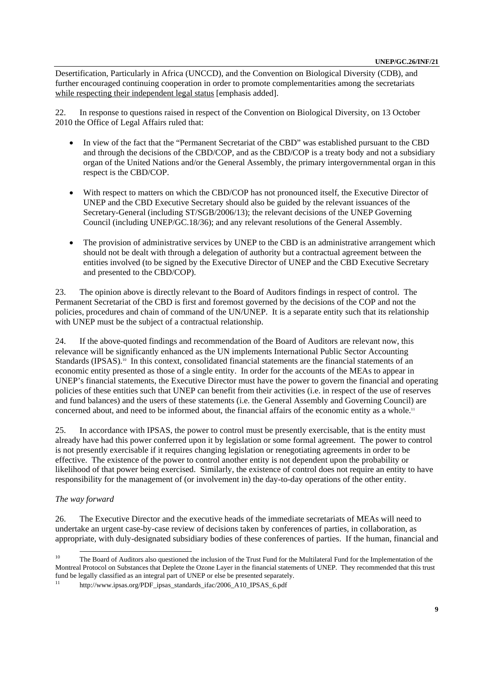Desertification, Particularly in Africa (UNCCD), and the Convention on Biological Diversity (CDB), and further encouraged continuing cooperation in order to promote complementarities among the secretariats while respecting their independent legal status [emphasis added].

22. In response to questions raised in respect of the Convention on Biological Diversity, on 13 October 2010 the Office of Legal Affairs ruled that:

- In view of the fact that the "Permanent Secretariat of the CBD" was established pursuant to the CBD and through the decisions of the CBD/COP, and as the CBD/COP is a treaty body and not a subsidiary organ of the United Nations and/or the General Assembly, the primary intergovernmental organ in this respect is the CBD/COP.
- With respect to matters on which the CBD/COP has not pronounced itself, the Executive Director of UNEP and the CBD Executive Secretary should also be guided by the relevant issuances of the Secretary-General (including ST/SGB/2006/13); the relevant decisions of the UNEP Governing Council (including UNEP/GC.18/36); and any relevant resolutions of the General Assembly.
- The provision of administrative services by UNEP to the CBD is an administrative arrangement which should not be dealt with through a delegation of authority but a contractual agreement between the entities involved (to be signed by the Executive Director of UNEP and the CBD Executive Secretary and presented to the CBD/COP).

23. The opinion above is directly relevant to the Board of Auditors findings in respect of control. The Permanent Secretariat of the CBD is first and foremost governed by the decisions of the COP and not the policies, procedures and chain of command of the UN/UNEP. It is a separate entity such that its relationship with UNEP must be the subject of a contractual relationship.

24. If the above-quoted findings and recommendation of the Board of Auditors are relevant now, this relevance will be significantly enhanced as the UN implements International Public Sector Accounting Standards (IPSAS).<sup>10</sup> In this context, consolidated financial statements are the financial statements of an economic entity presented as those of a single entity. In order for the accounts of the MEAs to appear in UNEP's financial statements, the Executive Director must have the power to govern the financial and operating policies of these entities such that UNEP can benefit from their activities (i.e. in respect of the use of reserves and fund balances) and the users of these statements (i.e. the General Assembly and Governing Council) are concerned about, and need to be informed about, the financial affairs of the economic entity as a whole.<sup>11</sup>

25. In accordance with IPSAS, the power to control must be presently exercisable, that is the entity must already have had this power conferred upon it by legislation or some formal agreement. The power to control is not presently exercisable if it requires changing legislation or renegotiating agreements in order to be effective. The existence of the power to control another entity is not dependent upon the probability or likelihood of that power being exercised. Similarly, the existence of control does not require an entity to have responsibility for the management of (or involvement in) the day-to-day operations of the other entity.

### *The way forward*

26. The Executive Director and the executive heads of the immediate secretariats of MEAs will need to undertake an urgent case-by-case review of decisions taken by conferences of parties, in collaboration, as appropriate, with duly-designated subsidiary bodies of these conferences of parties. If the human, financial and

<sup>&</sup>lt;sup>10</sup> The Board of Auditors also questioned the inclusion of the Trust Fund for the Multilateral Fund for the Implementation of the Montreal Protocol on Substances that Deplete the Ozone Layer in the financial statements of UNEP. They recommended that this trust fund be legally classified as an integral part of UNEP or else be presented separately.

http://www.ipsas.org/PDF\_ipsas\_standards\_ifac/2006\_A10\_IPSAS\_6.pdf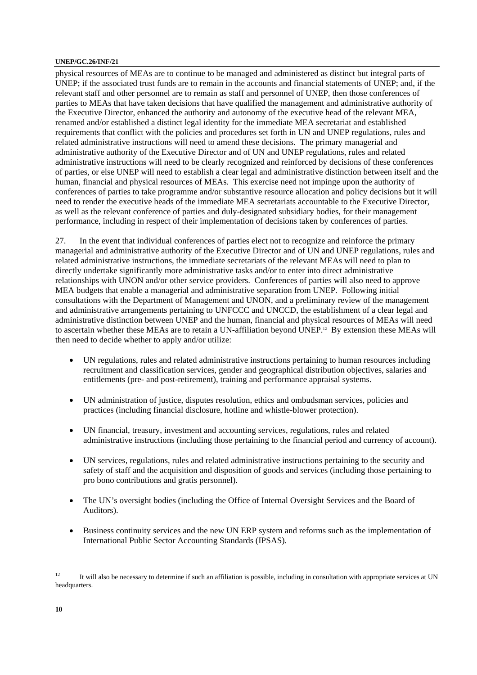physical resources of MEAs are to continue to be managed and administered as distinct but integral parts of UNEP; if the associated trust funds are to remain in the accounts and financial statements of UNEP; and, if the relevant staff and other personnel are to remain as staff and personnel of UNEP, then those conferences of parties to MEAs that have taken decisions that have qualified the management and administrative authority of the Executive Director, enhanced the authority and autonomy of the executive head of the relevant MEA, renamed and/or established a distinct legal identity for the immediate MEA secretariat and established requirements that conflict with the policies and procedures set forth in UN and UNEP regulations, rules and related administrative instructions will need to amend these decisions. The primary managerial and administrative authority of the Executive Director and of UN and UNEP regulations, rules and related administrative instructions will need to be clearly recognized and reinforced by decisions of these conferences of parties, or else UNEP will need to establish a clear legal and administrative distinction between itself and the human, financial and physical resources of MEAs. This exercise need not impinge upon the authority of conferences of parties to take programme and/or substantive resource allocation and policy decisions but it will need to render the executive heads of the immediate MEA secretariats accountable to the Executive Director, as well as the relevant conference of parties and duly-designated subsidiary bodies, for their management performance, including in respect of their implementation of decisions taken by conferences of parties.

27. In the event that individual conferences of parties elect not to recognize and reinforce the primary managerial and administrative authority of the Executive Director and of UN and UNEP regulations, rules and related administrative instructions, the immediate secretariats of the relevant MEAs will need to plan to directly undertake significantly more administrative tasks and/or to enter into direct administrative relationships with UNON and/or other service providers. Conferences of parties will also need to approve MEA budgets that enable a managerial and administrative separation from UNEP. Following initial consultations with the Department of Management and UNON, and a preliminary review of the management and administrative arrangements pertaining to UNFCCC and UNCCD, the establishment of a clear legal and administrative distinction between UNEP and the human, financial and physical resources of MEAs will need to ascertain whether these MEAs are to retain a UN-affiliation beyond UNEP.12 By extension these MEAs will then need to decide whether to apply and/or utilize:

- UN regulations, rules and related administrative instructions pertaining to human resources including recruitment and classification services, gender and geographical distribution objectives, salaries and entitlements (pre- and post-retirement), training and performance appraisal systems.
- UN administration of justice, disputes resolution, ethics and ombudsman services, policies and practices (including financial disclosure, hotline and whistle-blower protection).
- UN financial, treasury, investment and accounting services, regulations, rules and related administrative instructions (including those pertaining to the financial period and currency of account).
- UN services, regulations, rules and related administrative instructions pertaining to the security and safety of staff and the acquisition and disposition of goods and services (including those pertaining to pro bono contributions and gratis personnel).
- The UN's oversight bodies (including the Office of Internal Oversight Services and the Board of Auditors).
- Business continuity services and the new UN ERP system and reforms such as the implementation of International Public Sector Accounting Standards (IPSAS).

<sup>&</sup>lt;sup>12</sup> It will also be necessary to determine if such an affiliation is possible, including in consultation with appropriate services at UN headquarters.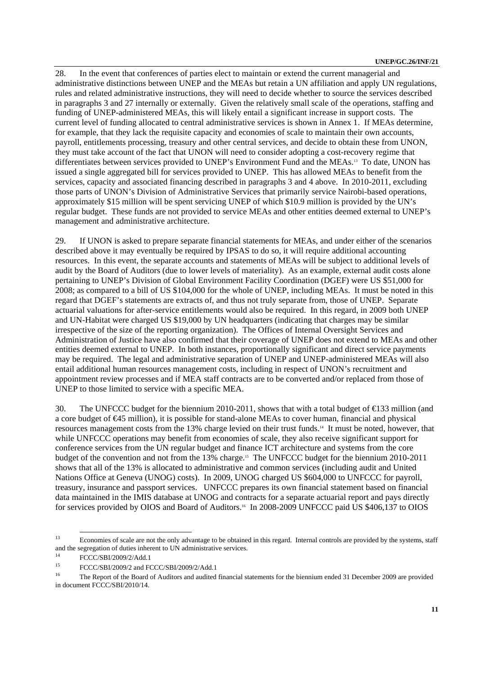28. In the event that conferences of parties elect to maintain or extend the current managerial and administrative distinctions between UNEP and the MEAs but retain a UN affiliation and apply UN regulations, rules and related administrative instructions, they will need to decide whether to source the services described in paragraphs 3 and 27 internally or externally. Given the relatively small scale of the operations, staffing and funding of UNEP-administered MEAs, this will likely entail a significant increase in support costs. The current level of funding allocated to central administrative services is shown in Annex 1. If MEAs determine, for example, that they lack the requisite capacity and economies of scale to maintain their own accounts, payroll, entitlements processing, treasury and other central services, and decide to obtain these from UNON, they must take account of the fact that UNON will need to consider adopting a cost-recovery regime that differentiates between services provided to UNEP's Environment Fund and the MEAs.13 To date, UNON has issued a single aggregated bill for services provided to UNEP. This has allowed MEAs to benefit from the services, capacity and associated financing described in paragraphs 3 and 4 above. In 2010-2011, excluding those parts of UNON's Division of Administrative Services that primarily service Nairobi-based operations, approximately \$15 million will be spent servicing UNEP of which \$10.9 million is provided by the UN's regular budget. These funds are not provided to service MEAs and other entities deemed external to UNEP's management and administrative architecture.

29. If UNON is asked to prepare separate financial statements for MEAs, and under either of the scenarios described above it may eventually be required by IPSAS to do so, it will require additional accounting resources. In this event, the separate accounts and statements of MEAs will be subject to additional levels of audit by the Board of Auditors (due to lower levels of materiality). As an example, external audit costs alone pertaining to UNEP's Division of Global Environment Facility Coordination (DGEF) were US \$51,000 for 2008; as compared to a bill of US \$104,000 for the whole of UNEP, including MEAs. It must be noted in this regard that DGEF's statements are extracts of, and thus not truly separate from, those of UNEP. Separate actuarial valuations for after-service entitlements would also be required. In this regard, in 2009 both UNEP and UN-Habitat were charged US \$19,000 by UN headquarters (indicating that charges may be similar irrespective of the size of the reporting organization). The Offices of Internal Oversight Services and Administration of Justice have also confirmed that their coverage of UNEP does not extend to MEAs and other entities deemed external to UNEP. In both instances, proportionally significant and direct service payments may be required. The legal and administrative separation of UNEP and UNEP-administered MEAs will also entail additional human resources management costs, including in respect of UNON's recruitment and appointment review processes and if MEA staff contracts are to be converted and/or replaced from those of UNEP to those limited to service with a specific MEA.

30. The UNFCCC budget for the biennium 2010-2011, shows that with a total budget of  $\bigoplus$  33 million (and a core budget of €45 million), it is possible for stand-alone MEAs to cover human, financial and physical resources management costs from the 13% charge levied on their trust funds.14 It must be noted, however, that while UNFCCC operations may benefit from economies of scale, they also receive significant support for conference services from the UN regular budget and finance ICT architecture and systems from the core budget of the convention and not from the 13% charge.<sup>15</sup> The UNFCCC budget for the biennium 2010-2011 shows that all of the 13% is allocated to administrative and common services (including audit and United Nations Office at Geneva (UNOG) costs). In 2009, UNOG charged US \$604,000 to UNFCCC for payroll, treasury, insurance and passport services. UNFCCC prepares its own financial statement based on financial data maintained in the IMIS database at UNOG and contracts for a separate actuarial report and pays directly for services provided by OIOS and Board of Auditors.<sup>16</sup> In 2008-2009 UNFCCC paid US \$406,137 to OIOS

<sup>&</sup>lt;sup>13</sup> Economies of scale are not the only advantage to be obtained in this regard. Internal controls are provided by the systems, staff and the segregation of duties inherent to UN administrative services.<br> $\frac{14}{111}$ 

 $\frac{14}{15}$  FCCC/SBI/2009/2/Add.1

<sup>&</sup>lt;sup>15</sup> FCCC/SBI/2009/2 and FCCC/SBI/2009/2/Add.1 The Report of the Board of Auditors and audited financial statements for the biennium ended 31 December 2009 are provided in document FCCC/SBI/2010/14.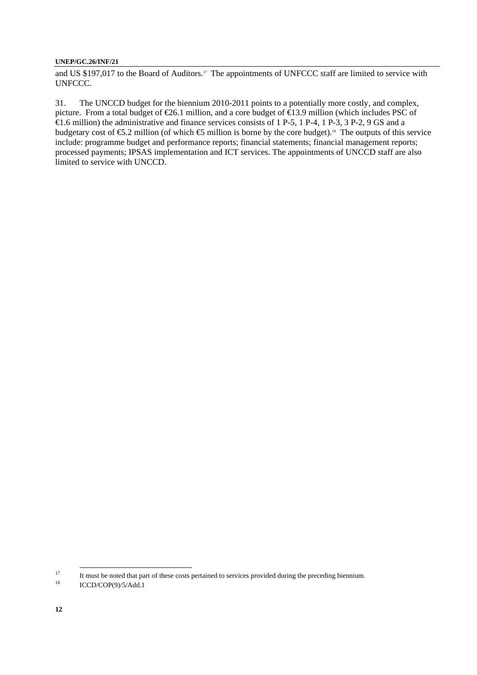and US \$197,017 to the Board of Auditors.<sup>17</sup> The appointments of UNFCCC staff are limited to service with UNFCCC.

31. The UNCCD budget for the biennium 2010-2011 points to a potentially more costly, and complex, picture. From a total budget of €26.1 million, and a core budget of €13.9 million (which includes PSC of  $\overline{\text{E}}$ 1.6 million) the administrative and finance services consists of 1 P-5, 1 P-4, 1 P-3, 3 P-2, 9 GS and a budgetary cost of  $\epsilon$ 5.2 million (of which  $\epsilon$ 5 million is borne by the core budget).<sup>18</sup> The outputs of this service include: programme budget and performance reports; financial statements; financial management reports; processed payments; IPSAS implementation and ICT services. The appointments of UNCCD staff are also limited to service with UNCCD.

<sup>&</sup>lt;sup>17</sup> It must be noted that part of these costs pertained to services provided during the preceding biennium.

<sup>18</sup> ICCD/COP(9)/5/Add.1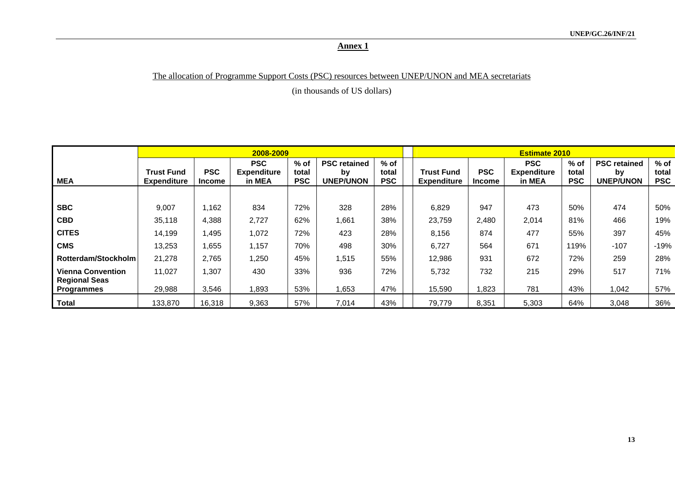# The allocation of Programme Support Costs (PSC) resources between UNEP/UNON and MEA secretariats

(in thousands of US dollars)

|                                           | 2008-2009                               |                      |                                            |                               |                                               |                               |  | <b>Estimate 2010</b>                    |                             |                                            |                               |                                               |                               |  |  |  |
|-------------------------------------------|-----------------------------------------|----------------------|--------------------------------------------|-------------------------------|-----------------------------------------------|-------------------------------|--|-----------------------------------------|-----------------------------|--------------------------------------------|-------------------------------|-----------------------------------------------|-------------------------------|--|--|--|
| <b>MEA</b>                                | <b>Trust Fund</b><br><b>Expenditure</b> | <b>PSC</b><br>Income | <b>PSC</b><br><b>Expenditure</b><br>in MEA | $%$ of<br>total<br><b>PSC</b> | <b>PSC retained</b><br>by<br><b>UNEP/UNON</b> | $%$ of<br>total<br><b>PSC</b> |  | <b>Trust Fund</b><br><b>Expenditure</b> | <b>PSC</b><br><b>Income</b> | <b>PSC</b><br><b>Expenditure</b><br>in MEA | $%$ of<br>total<br><b>PSC</b> | <b>PSC retained</b><br>by<br><b>UNEP/UNON</b> | $%$ of<br>total<br><b>PSC</b> |  |  |  |
|                                           |                                         |                      |                                            |                               |                                               |                               |  |                                         |                             |                                            |                               |                                               |                               |  |  |  |
| <b>SBC</b>                                | 9,007                                   | 1,162                | 834                                        | 72%                           | 328                                           | 28%                           |  | 6,829                                   | 947                         | 473                                        | 50%                           | 474                                           | 50%                           |  |  |  |
| <b>CBD</b>                                | 35,118                                  | 4,388                | 2,727                                      | 62%                           | 1,661                                         | 38%                           |  | 23,759                                  | 2,480                       | 2,014                                      | 81%                           | 466                                           | 19%                           |  |  |  |
| <b>CITES</b>                              | 14,199                                  | 1,495                | 1,072                                      | 72%                           | 423                                           | 28%                           |  | 8,156                                   | 874                         | 477                                        | 55%                           | 397                                           | 45%                           |  |  |  |
| <b>CMS</b>                                | 13,253                                  | 1,655                | 1,157                                      | 70%                           | 498                                           | 30%                           |  | 6,727                                   | 564                         | 671                                        | 119%                          | $-107$                                        | $-19%$                        |  |  |  |
| Rotterdam/Stockholm                       | 21,278                                  | 2,765                | 1,250                                      | 45%                           | 1,515                                         | 55%                           |  | 12,986                                  | 931                         | 672                                        | 72%                           | 259                                           | 28%                           |  |  |  |
| <b>Vienna Convention</b>                  | 11,027                                  | 1,307                | 430                                        | 33%                           | 936                                           | 72%                           |  | 5,732                                   | 732                         | 215                                        | 29%                           | 517                                           | 71%                           |  |  |  |
| <b>Regional Seas</b><br><b>Programmes</b> | 29,988                                  | 3,546                | 1,893                                      | 53%                           | 1,653                                         | 47%                           |  | 15,590                                  | 1,823                       | 781                                        | 43%                           | 1,042                                         | 57%                           |  |  |  |
| Total                                     | 133,870                                 | 16,318               | 9,363                                      | 57%                           | 7,014                                         | 43%                           |  | 79,779                                  | 8,351                       | 5,303                                      | 64%                           | 3,048                                         | 36%                           |  |  |  |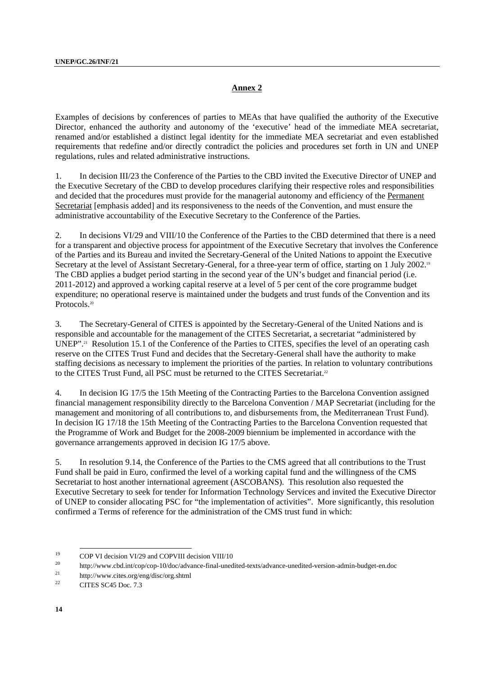Examples of decisions by conferences of parties to MEAs that have qualified the authority of the Executive Director, enhanced the authority and autonomy of the 'executive' head of the immediate MEA secretariat, renamed and/or established a distinct legal identity for the immediate MEA secretariat and even established requirements that redefine and/or directly contradict the policies and procedures set forth in UN and UNEP regulations, rules and related administrative instructions.

1. In decision III/23 the Conference of the Parties to the CBD invited the Executive Director of UNEP and the Executive Secretary of the CBD to develop procedures clarifying their respective roles and responsibilities and decided that the procedures must provide for the managerial autonomy and efficiency of the Permanent Secretariat [emphasis added] and its responsiveness to the needs of the Convention, and must ensure the administrative accountability of the Executive Secretary to the Conference of the Parties.

2. In decisions VI/29 and VIII/10 the Conference of the Parties to the CBD determined that there is a need for a transparent and objective process for appointment of the Executive Secretary that involves the Conference of the Parties and its Bureau and invited the Secretary-General of the United Nations to appoint the Executive Secretary at the level of Assistant Secretary-General, for a three-year term of office, starting on 1 July 2002.<sup>19</sup> The CBD applies a budget period starting in the second year of the UN's budget and financial period (i.e. 2011-2012) and approved a working capital reserve at a level of 5 per cent of the core programme budget expenditure; no operational reserve is maintained under the budgets and trust funds of the Convention and its Protocols<sup>20</sup>

3. The Secretary-General of CITES is appointed by the Secretary-General of the United Nations and is responsible and accountable for the management of the CITES Secretariat, a secretariat "administered by UNEP".<sup>21</sup> Resolution 15.1 of the Conference of the Parties to CITES, specifies the level of an operating cash reserve on the CITES Trust Fund and decides that the Secretary-General shall have the authority to make staffing decisions as necessary to implement the priorities of the parties. In relation to voluntary contributions to the CITES Trust Fund, all PSC must be returned to the CITES Secretariat.<sup>22</sup>

4. In decision IG 17/5 the 15th Meeting of the Contracting Parties to the Barcelona Convention assigned financial management responsibility directly to the Barcelona Convention / MAP Secretariat (including for the management and monitoring of all contributions to, and disbursements from, the Mediterranean Trust Fund). In decision IG 17/18 the 15th Meeting of the Contracting Parties to the Barcelona Convention requested that the Programme of Work and Budget for the 2008-2009 biennium be implemented in accordance with the governance arrangements approved in decision IG 17/5 above.

5. In resolution 9.14, the Conference of the Parties to the CMS agreed that all contributions to the Trust Fund shall be paid in Euro, confirmed the level of a working capital fund and the willingness of the CMS Secretariat to host another international agreement (ASCOBANS). This resolution also requested the Executive Secretary to seek for tender for Information Technology Services and invited the Executive Director of UNEP to consider allocating PSC for "the implementation of activities". More significantly, this resolution confirmed a Terms of reference for the administration of the CMS trust fund in which:

<sup>19</sup> COP VI decision VI/29 and COPVIII decision VIII/10<br>
20 http://www.cbd.int/cop/cop-10/doc/advance-final-unedited-texts/advance-unedited-version-admin-budget-en.doc<br>
22 http://www.cites.org/eng/disc/org.shtml<br>
22 CHTES.SC

<sup>22</sup> CITES SC45 Doc. 7.3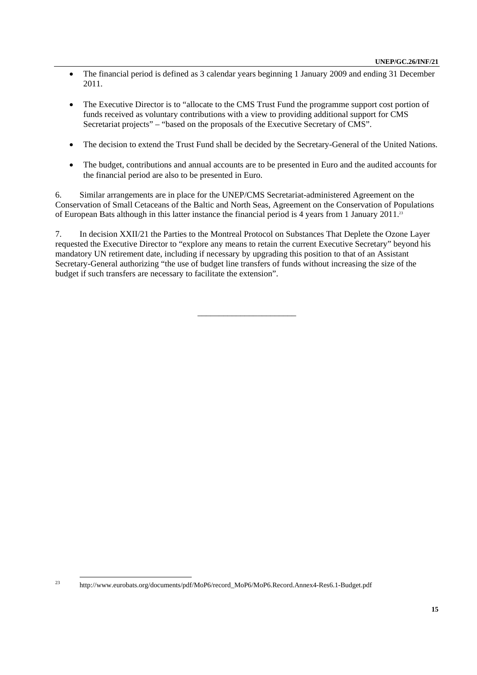- The financial period is defined as 3 calendar years beginning 1 January 2009 and ending 31 December 2011.
- The Executive Director is to "allocate to the CMS Trust Fund the programme support cost portion of funds received as voluntary contributions with a view to providing additional support for CMS Secretariat projects" – "based on the proposals of the Executive Secretary of CMS".
- The decision to extend the Trust Fund shall be decided by the Secretary-General of the United Nations.
- The budget, contributions and annual accounts are to be presented in Euro and the audited accounts for the financial period are also to be presented in Euro.

6. Similar arrangements are in place for the UNEP/CMS Secretariat-administered Agreement on the Conservation of Small Cetaceans of the Baltic and North Seas, Agreement on the Conservation of Populations of European Bats although in this latter instance the financial period is 4 years from 1 January 2011.23

7. In decision XXII/21 the Parties to the Montreal Protocol on Substances That Deplete the Ozone Layer requested the Executive Director to "explore any means to retain the current Executive Secretary" beyond his mandatory UN retirement date, including if necessary by upgrading this position to that of an Assistant Secretary-General authorizing "the use of budget line transfers of funds without increasing the size of the budget if such transfers are necessary to facilitate the extension".

\_\_\_\_\_\_\_\_\_\_\_\_\_\_\_\_\_\_\_\_\_\_\_

 <sup>23</sup> http://www.eurobats.org/documents/pdf/MoP6/record\_MoP6/MoP6.Record.Annex4-Res6.1-Budget.pdf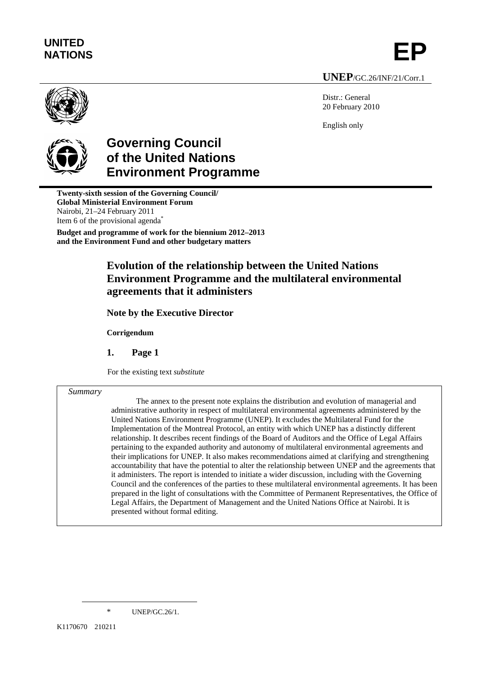

**UNEP**/GC.26/INF/21/Corr.1

Distr.: General 20 February 2010

English only



# **Governing Council of the United Nations Environment Programme**

**Twenty-sixth session of the Governing Council/ Global Ministerial Environment Forum**  Nairobi, 21–24 February 2011 Item 6 of the provisional agenda<sup>\*</sup> **Budget and programme of work for the biennium 2012–2013 and the Environment Fund and other budgetary matters** 

# **Evolution of the relationship between the United Nations Environment Programme and the multilateral environmental agreements that it administers**

**Note by the Executive Director** 

**Corrigendum** 

**1. Page 1** 

For the existing text *substitute* 

#### *Summary*

The annex to the present note explains the distribution and evolution of managerial and administrative authority in respect of multilateral environmental agreements administered by the United Nations Environment Programme (UNEP). It excludes the Multilateral Fund for the Implementation of the Montreal Protocol, an entity with which UNEP has a distinctly different relationship. It describes recent findings of the Board of Auditors and the Office of Legal Affairs pertaining to the expanded authority and autonomy of multilateral environmental agreements and their implications for UNEP. It also makes recommendations aimed at clarifying and strengthening accountability that have the potential to alter the relationship between UNEP and the agreements that it administers. The report is intended to initiate a wider discussion, including with the Governing Council and the conferences of the parties to these multilateral environmental agreements. It has been prepared in the light of consultations with the Committee of Permanent Representatives, the Office of Legal Affairs, the Department of Management and the United Nations Office at Nairobi. It is presented without formal editing.

\* UNEP/GC.26/1.

 $\overline{a}$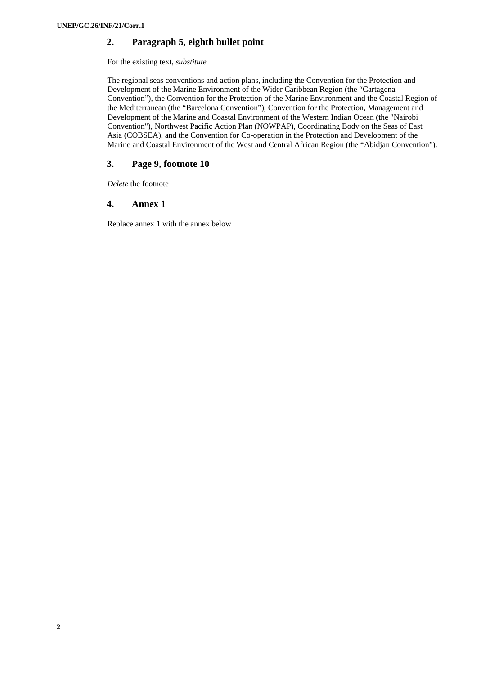## **2. Paragraph 5, eighth bullet point**

For the existing text, *substitute*

The regional seas conventions and action plans, including the Convention for the Protection and Development of the Marine Environment of the Wider Caribbean Region (the "Cartagena Convention"), the Convention for the Protection of the Marine Environment and the Coastal Region of the Mediterranean (the "Barcelona Convention"), Convention for the Protection, Management and Development of the Marine and Coastal Environment of the Western Indian Ocean (the "Nairobi Convention"), Northwest Pacific Action Plan (NOWPAP), Coordinating Body on the Seas of East Asia (COBSEA), and the Convention for Co-operation in the Protection and Development of the Marine and Coastal Environment of the West and Central African Region (the "Abidjan Convention").

## **3. Page 9, footnote 10**

*Delete* the footnote

### **4. Annex 1**

Replace annex 1 with the annex below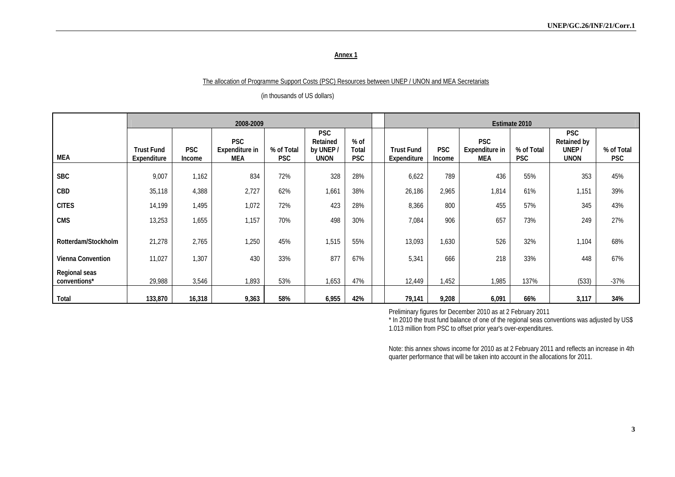### The allocation of Programme Support Costs (PSC) Resources between UNEP / UNON and MEA Secretariats

|                               |                                  | 2008-2009                   |                                     | Estimate 2010            |                                                    |                               |                                  |                             |                                     |                          |                                                   |                          |
|-------------------------------|----------------------------------|-----------------------------|-------------------------------------|--------------------------|----------------------------------------------------|-------------------------------|----------------------------------|-----------------------------|-------------------------------------|--------------------------|---------------------------------------------------|--------------------------|
| MEA                           | <b>Trust Fund</b><br>Expenditure | <b>PSC</b><br><b>Income</b> | <b>PSC</b><br>Expenditure in<br>MEA | % of Total<br><b>PSC</b> | <b>PSC</b><br>Retained<br>by UNEP /<br><b>UNON</b> | $%$ of<br>Total<br><b>PSC</b> | <b>Trust Fund</b><br>Expenditure | <b>PSC</b><br><b>Income</b> | <b>PSC</b><br>Expenditure in<br>MEA | % of Total<br><b>PSC</b> | <b>PSC</b><br>Retained by<br>UNEP/<br><b>UNON</b> | % of Total<br><b>PSC</b> |
| <b>SBC</b>                    | 9,007                            | 1,162                       | 834                                 | 72%                      | 328                                                | 28%                           | 6,622                            | 789                         | 436                                 | 55%                      | 353                                               | 45%                      |
| CBD                           | 35,118                           | 4,388                       | 2,727                               | 62%                      | 1,661                                              | 38%                           | 26,186                           | 2,965                       | 1,814                               | 61%                      | 1,151                                             | 39%                      |
| <b>CITES</b>                  | 14,199                           | 1,495                       | 1,072                               | 72%                      | 423                                                | 28%                           | 8,366                            | 800                         | 455                                 | 57%                      | 345                                               | 43%                      |
| <b>CMS</b>                    | 13,253                           | 1,655                       | 1,157                               | 70%                      | 498                                                | 30%                           | 7,084                            | 906                         | 657                                 | 73%                      | 249                                               | 27%                      |
| Rotterdam/Stockholm           | 21,278                           | 2,765                       | 1,250                               | 45%                      | 1,515                                              | 55%                           | 13,093                           | 1,630                       | 526                                 | 32%                      | 1,104                                             | 68%                      |
| <b>Vienna Convention</b>      | 11,027                           | 1,307                       | 430                                 | 33%                      | 877                                                | 67%                           | 5,341                            | 666                         | 218                                 | 33%                      | 448                                               | 67%                      |
| Regional seas<br>conventions* | 29,988                           | 3,546                       | 1,893                               | 53%                      | 1,653                                              | 47%                           | 12,449                           | 1,452                       | 1,985                               | 137%                     | (533)                                             | $-37%$                   |
| Total                         | 133,870                          | 16,318                      | 9,363                               | 58%                      | 6,955                                              | 42%                           | 79,141                           | 9,208                       | 6,091                               | 66%                      | 3,117                                             | 34%                      |

(in thousands of US dollars)

Preliminary figures for December 2010 as at 2 February 2011

\* In 2010 the trust fund balance of one of the regional seas conventions was adjusted by US\$ 1.013 million from PSC to offset prior year's over-expenditures.

Note: this annex shows income for 2010 as at 2 February 2011 and reflects an increase in 4th quarter performance that will be taken into account in the allocations for 2011.